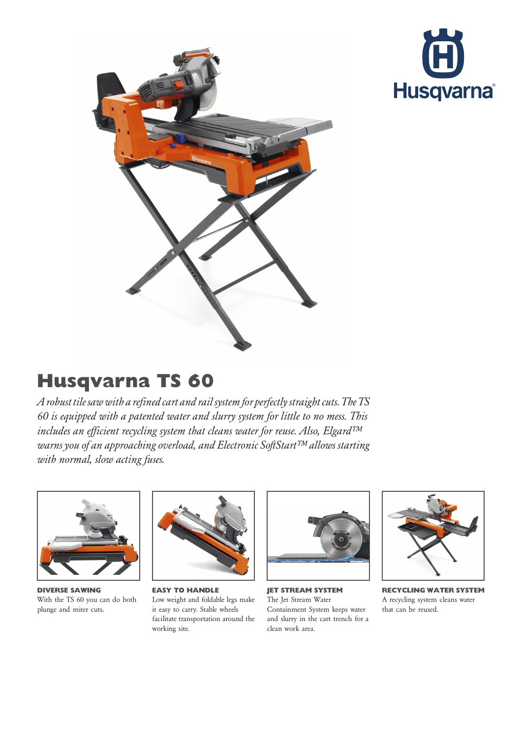



## Husqvarna TS 60

Arobust tile saw with a refined cart and rail system for perfectly straight cuts. The TS 60 is equipped with a patented water and slurry system for little to no mess. This includes an efficient recycling system that cleans water for reuse. Also, Elgard™ warns you of an approaching overload, and Electronic SoftStart™ allows starting with normal, slow acting fuses.



DIVERSE SAWING With the TS 60 you can do both plunge and miter cuts.



EASY TO HANDLE Low weight and foldable legs make it easy to carry. Stable wheels facilitate transportation around the working site.



JET STREAM SYSTEM The Jet Stream Water Containment System keeps water and slurry in the cart trench for a clean work area.



RECYCLING WATER SYSTEM A recycling system cleans water that can be reused.